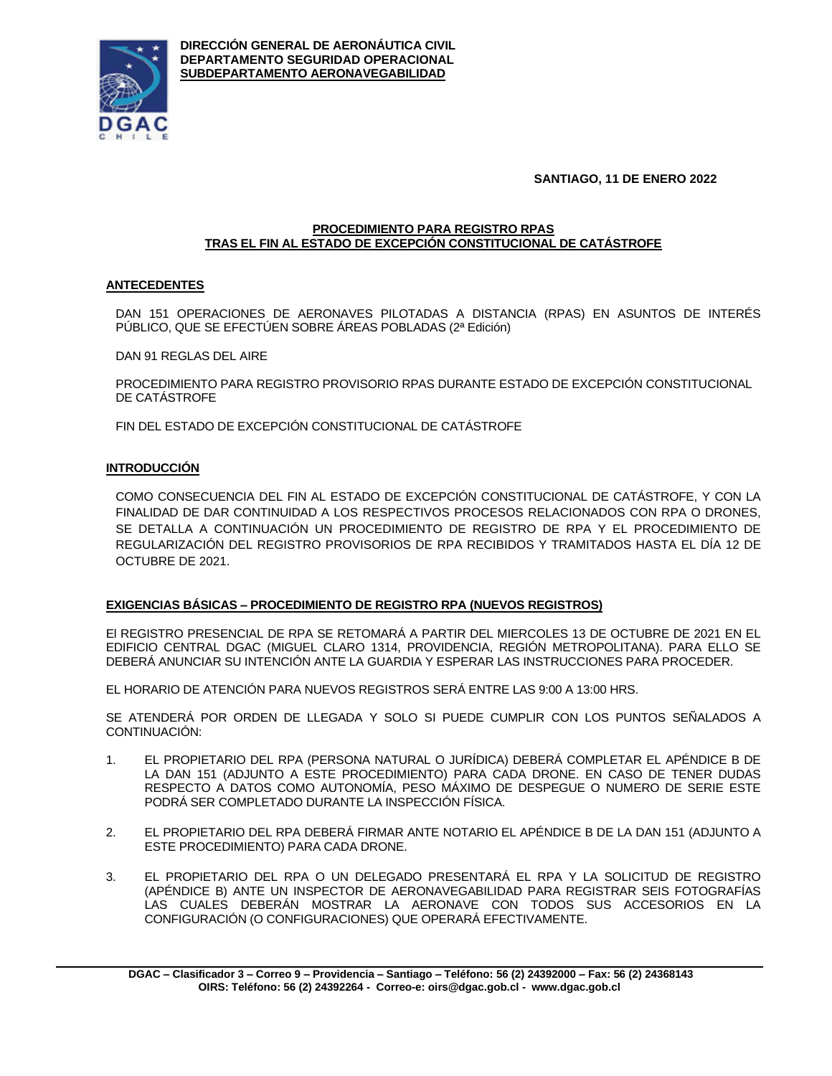

**DIRECCIÓN GENERAL DE AERONÁUTICA CIVIL DEPARTAMENTO SEGURIDAD OPERACIONAL SUBDEPARTAMENTO AERONAVEGABILIDAD**

**SANTIAGO, 11 DE ENERO 2022**

#### **PROCEDIMIENTO PARA REGISTRO RPAS TRAS EL FIN AL ESTADO DE EXCEPCIÓN CONSTITUCIONAL DE CATÁSTROFE**

# **ANTECEDENTES**

DAN 151 OPERACIONES DE AERONAVES PILOTADAS A DISTANCIA (RPAS) EN ASUNTOS DE INTERÉS PÚBLICO, QUE SE EFECTÚEN SOBRE ÁREAS POBLADAS (2ª Edición)

DAN 91 REGLAS DEL AIRE

PROCEDIMIENTO PARA REGISTRO PROVISORIO RPAS DURANTE ESTADO DE EXCEPCIÓN CONSTITUCIONAL DE CATÁSTROFE

FIN DEL ESTADO DE EXCEPCIÓN CONSTITUCIONAL DE CATÁSTROFE

# **INTRODUCCIÓN**

COMO CONSECUENCIA DEL FIN AL ESTADO DE EXCEPCIÓN CONSTITUCIONAL DE CATÁSTROFE, Y CON LA FINALIDAD DE DAR CONTINUIDAD A LOS RESPECTIVOS PROCESOS RELACIONADOS CON RPA O DRONES, SE DETALLA A CONTINUACIÓN UN PROCEDIMIENTO DE REGISTRO DE RPA Y EL PROCEDIMIENTO DE REGULARIZACIÓN DEL REGISTRO PROVISORIOS DE RPA RECIBIDOS Y TRAMITADOS HASTA EL DÍA 12 DE OCTUBRE DE 2021.

# **EXIGENCIAS BÁSICAS – PROCEDIMIENTO DE REGISTRO RPA (NUEVOS REGISTROS)**

El REGISTRO PRESENCIAL DE RPA SE RETOMARÁ A PARTIR DEL MIERCOLES 13 DE OCTUBRE DE 2021 EN EL EDIFICIO CENTRAL DGAC (MIGUEL CLARO 1314, PROVIDENCIA, REGIÓN METROPOLITANA). PARA ELLO SE DEBERÁ ANUNCIAR SU INTENCIÓN ANTE LA GUARDIA Y ESPERAR LAS INSTRUCCIONES PARA PROCEDER.

EL HORARIO DE ATENCIÓN PARA NUEVOS REGISTROS SERÁ ENTRE LAS 9:00 A 13:00 HRS.

SE ATENDERÁ POR ORDEN DE LLEGADA Y SOLO SI PUEDE CUMPLIR CON LOS PUNTOS SEÑALADOS A CONTINUACIÓN:

- 1. EL PROPIETARIO DEL RPA (PERSONA NATURAL O JURÍDICA) DEBERÁ COMPLETAR EL APÉNDICE B DE LA DAN 151 (ADJUNTO A ESTE PROCEDIMIENTO) PARA CADA DRONE. EN CASO DE TENER DUDAS RESPECTO A DATOS COMO AUTONOMÍA, PESO MÁXIMO DE DESPEGUE O NUMERO DE SERIE ESTE PODRÁ SER COMPLETADO DURANTE LA INSPECCIÓN FÍSICA.
- 2. EL PROPIETARIO DEL RPA DEBERÁ FIRMAR ANTE NOTARIO EL APÉNDICE B DE LA DAN 151 (ADJUNTO A ESTE PROCEDIMIENTO) PARA CADA DRONE.
- 3. EL PROPIETARIO DEL RPA O UN DELEGADO PRESENTARÁ EL RPA Y LA SOLICITUD DE REGISTRO (APÉNDICE B) ANTE UN INSPECTOR DE AERONAVEGABILIDAD PARA REGISTRAR SEIS FOTOGRAFÍAS LAS CUALES DEBERÁN MOSTRAR LA AERONAVE CON TODOS SUS ACCESORIOS EN LA CONFIGURACIÓN (O CONFIGURACIONES) QUE OPERARÁ EFECTIVAMENTE.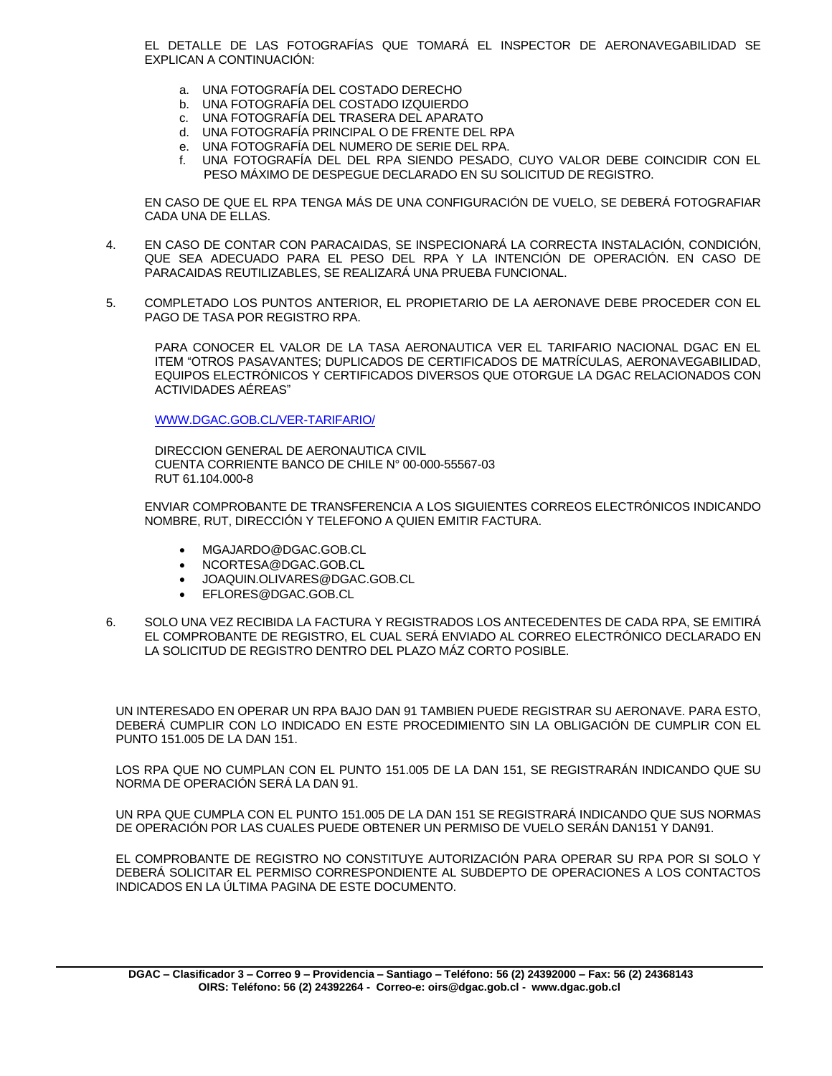EL DETALLE DE LAS FOTOGRAFÍAS QUE TOMARÁ EL INSPECTOR DE AERONAVEGABILIDAD SE EXPLICAN A CONTINUACIÓN:

- a. UNA FOTOGRAFÍA DEL COSTADO DERECHO
- b. UNA FOTOGRAFÍA DEL COSTADO IZQUIERDO
- c. UNA FOTOGRAFÍA DEL TRASERA DEL APARATO
- d. UNA FOTOGRAFÍA PRINCIPAL O DE FRENTE DEL RPA
- e. UNA FOTOGRAFÍA DEL NUMERO DE SERIE DEL RPA.
- f. UNA FOTOGRAFÍA DEL DEL RPA SIENDO PESADO, CUYO VALOR DEBE COINCIDIR CON EL PESO MÁXIMO DE DESPEGUE DECLARADO EN SU SOLICITUD DE REGISTRO.

EN CASO DE QUE EL RPA TENGA MÁS DE UNA CONFIGURACIÓN DE VUELO, SE DEBERÁ FOTOGRAFIAR CADA UNA DE ELLAS.

- 4. EN CASO DE CONTAR CON PARACAIDAS, SE INSPECIONARÁ LA CORRECTA INSTALACIÓN, CONDICIÓN, QUE SEA ADECUADO PARA EL PESO DEL RPA Y LA INTENCIÓN DE OPERACIÓN. EN CASO DE PARACAIDAS REUTILIZABLES, SE REALIZARÁ UNA PRUEBA FUNCIONAL.
- 5. COMPLETADO LOS PUNTOS ANTERIOR, EL PROPIETARIO DE LA AERONAVE DEBE PROCEDER CON EL PAGO DE TASA POR REGISTRO RPA.

PARA CONOCER EL VALOR DE LA TASA AERONAUTICA VER EL TARIFARIO NACIONAL DGAC EN EL ITEM "OTROS PASAVANTES; DUPLICADOS DE CERTIFICADOS DE MATRÍCULAS, AERONAVEGABILIDAD, EQUIPOS ELECTRÓNICOS Y CERTIFICADOS DIVERSOS QUE OTORGUE LA DGAC RELACIONADOS CON ACTIVIDADES AÉREAS"

[WWW.DGAC.GOB.CL/VER-TARIFARIO/](http://www.dgac.gob.cl/VER-TARIFARIO/)

DIRECCION GENERAL DE AERONAUTICA CIVIL CUENTA CORRIENTE BANCO DE CHILE N° 00-000-55567-03 RUT 61.104.000-8

ENVIAR COMPROBANTE DE TRANSFERENCIA A LOS SIGUIENTES CORREOS ELECTRÓNICOS INDICANDO NOMBRE, RUT, DIRECCIÓN Y TELEFONO A QUIEN EMITIR FACTURA.

- MGAJARDO@DGAC.GOB.CL
- NCORTESA@DGAC.GOB.CL
- JOAQUIN.OLIVARES@DGAC.GOB.CL
- EFLORES@DGAC.GOB.CL
- 6. SOLO UNA VEZ RECIBIDA LA FACTURA Y REGISTRADOS LOS ANTECEDENTES DE CADA RPA, SE EMITIRÁ EL COMPROBANTE DE REGISTRO, EL CUAL SERÁ ENVIADO AL CORREO ELECTRÓNICO DECLARADO EN LA SOLICITUD DE REGISTRO DENTRO DEL PLAZO MÁZ CORTO POSIBLE.

UN INTERESADO EN OPERAR UN RPA BAJO DAN 91 TAMBIEN PUEDE REGISTRAR SU AERONAVE. PARA ESTO, DEBERÁ CUMPLIR CON LO INDICADO EN ESTE PROCEDIMIENTO SIN LA OBLIGACIÓN DE CUMPLIR CON EL PUNTO 151.005 DE LA DAN 151.

LOS RPA QUE NO CUMPLAN CON EL PUNTO 151.005 DE LA DAN 151, SE REGISTRARÁN INDICANDO QUE SU NORMA DE OPERACIÓN SERÁ LA DAN 91.

UN RPA QUE CUMPLA CON EL PUNTO 151.005 DE LA DAN 151 SE REGISTRARÁ INDICANDO QUE SUS NORMAS DE OPERACIÓN POR LAS CUALES PUEDE OBTENER UN PERMISO DE VUELO SERÁN DAN151 Y DAN91.

EL COMPROBANTE DE REGISTRO NO CONSTITUYE AUTORIZACIÓN PARA OPERAR SU RPA POR SI SOLO Y DEBERÁ SOLICITAR EL PERMISO CORRESPONDIENTE AL SUBDEPTO DE OPERACIONES A LOS CONTACTOS INDICADOS EN LA ÚLTIMA PAGINA DE ESTE DOCUMENTO.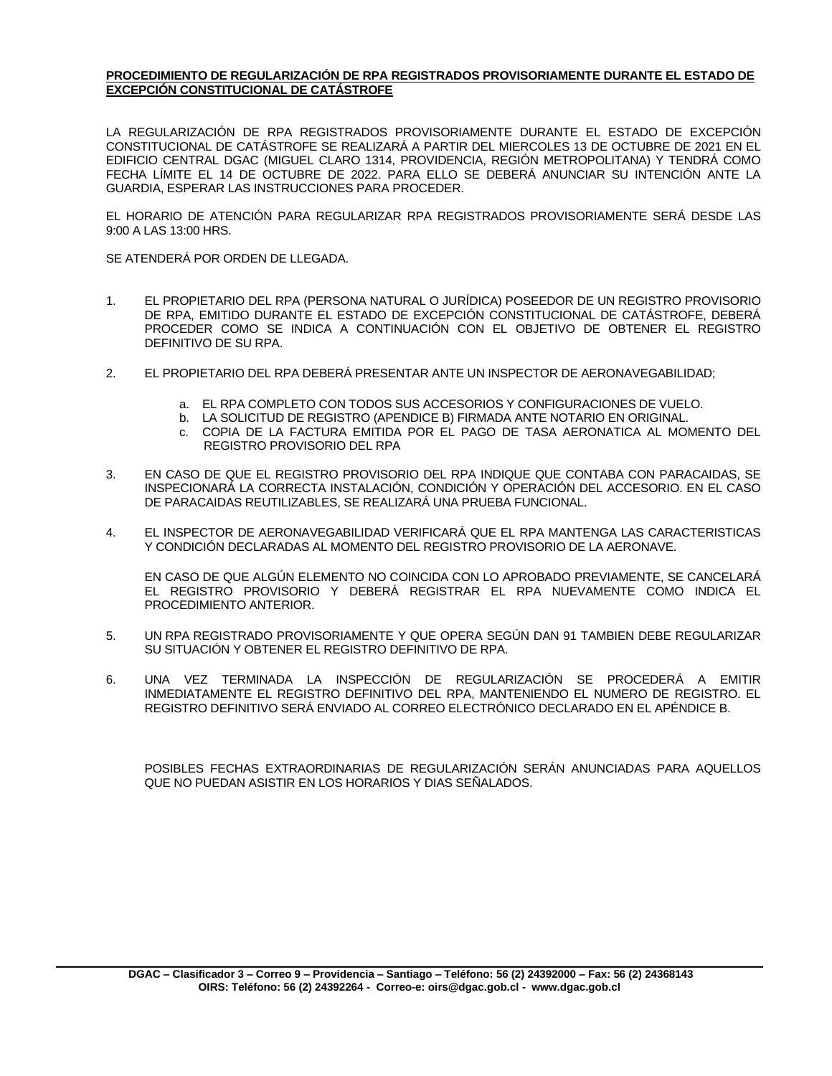#### **PROCEDIMIENTO DE REGULARIZACIÓN DE RPA REGISTRADOS PROVISORIAMENTE DURANTE EL ESTADO DE EXCEPCIÓN CONSTITUCIONAL DE CATÁSTROFE**

LA REGULARIZACIÓN DE RPA REGISTRADOS PROVISORIAMENTE DURANTE EL ESTADO DE EXCEPCIÓN CONSTITUCIONAL DE CATÁSTROFE SE REALIZARÁ A PARTIR DEL MIERCOLES 13 DE OCTUBRE DE 2021 EN EL EDIFICIO CENTRAL DGAC (MIGUEL CLARO 1314, PROVIDENCIA, REGIÓN METROPOLITANA) Y TENDRÁ COMO FECHA LÍMITE EL 14 DE OCTUBRE DE 2022. PARA ELLO SE DEBERÁ ANUNCIAR SU INTENCIÓN ANTE LA GUARDIA, ESPERAR LAS INSTRUCCIONES PARA PROCEDER.

EL HORARIO DE ATENCIÓN PARA REGULARIZAR RPA REGISTRADOS PROVISORIAMENTE SERÁ DESDE LAS 9:00 A LAS 13:00 HRS.

SE ATENDERÁ POR ORDEN DE LLEGADA.

- 1. EL PROPIETARIO DEL RPA (PERSONA NATURAL O JURÍDICA) POSEEDOR DE UN REGISTRO PROVISORIO DE RPA, EMITIDO DURANTE EL ESTADO DE EXCEPCIÓN CONSTITUCIONAL DE CATÁSTROFE, DEBERÁ PROCEDER COMO SE INDICA A CONTINUACIÓN CON EL OBJETIVO DE OBTENER EL REGISTRO DEFINITIVO DE SU RPA.
- 2. EL PROPIETARIO DEL RPA DEBERÁ PRESENTAR ANTE UN INSPECTOR DE AERONAVEGABILIDAD;
	- a. EL RPA COMPLETO CON TODOS SUS ACCESORIOS Y CONFIGURACIONES DE VUELO.
	- b. LA SOLICITUD DE REGISTRO (APENDICE B) FIRMADA ANTE NOTARIO EN ORIGINAL.
	- c. COPIA DE LA FACTURA EMITIDA POR EL PAGO DE TASA AERONATICA AL MOMENTO DEL REGISTRO PROVISORIO DEL RPA
- 3. EN CASO DE QUE EL REGISTRO PROVISORIO DEL RPA INDIQUE QUE CONTABA CON PARACAIDAS, SE INSPECIONARÁ LA CORRECTA INSTALACIÓN, CONDICIÓN Y OPERACIÓN DEL ACCESORIO. EN EL CASO DE PARACAIDAS REUTILIZABLES, SE REALIZARÁ UNA PRUEBA FUNCIONAL.
- 4. EL INSPECTOR DE AERONAVEGABILIDAD VERIFICARÁ QUE EL RPA MANTENGA LAS CARACTERISTICAS Y CONDICIÓN DECLARADAS AL MOMENTO DEL REGISTRO PROVISORIO DE LA AERONAVE.

EN CASO DE QUE ALGÚN ELEMENTO NO COINCIDA CON LO APROBADO PREVIAMENTE, SE CANCELARÁ EL REGISTRO PROVISORIO Y DEBERÁ REGISTRAR EL RPA NUEVAMENTE COMO INDICA EL PROCEDIMIENTO ANTERIOR.

- 5. UN RPA REGISTRADO PROVISORIAMENTE Y QUE OPERA SEGÚN DAN 91 TAMBIEN DEBE REGULARIZAR SU SITUACIÓN Y OBTENER EL REGISTRO DEFINITIVO DE RPA.
- 6. UNA VEZ TERMINADA LA INSPECCIÓN DE REGULARIZACIÓN SE PROCEDERÁ A EMITIR INMEDIATAMENTE EL REGISTRO DEFINITIVO DEL RPA, MANTENIENDO EL NUMERO DE REGISTRO. EL REGISTRO DEFINITIVO SERÁ ENVIADO AL CORREO ELECTRÓNICO DECLARADO EN EL APÉNDICE B.

POSIBLES FECHAS EXTRAORDINARIAS DE REGULARIZACIÓN SERÁN ANUNCIADAS PARA AQUELLOS QUE NO PUEDAN ASISTIR EN LOS HORARIOS Y DIAS SEÑALADOS.